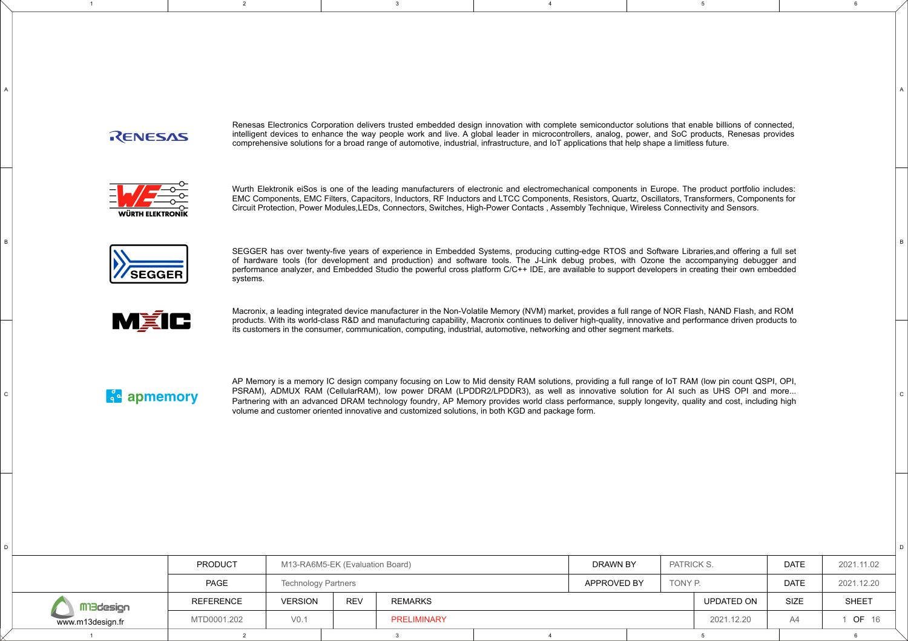## RENESAS

1

Renesas Electronics Corporation delivers trusted embedded design innovation with complete semiconductor solutions that enable billions of connected, intelligent devices to enhance the way people work and live. A global leader in microcontrollers, analog, power, and SoC products, Renesas provides comprehensive solutions for a broad range of automotive, industrial, infrastructure, and IoT applications that help shape a limitless future.

5

6

C

D

B

A

2 a and the set of the set of the set of the set of the set of the set of the set of the set of the set of the <br>2 and the set of the set of the set of the set of the set of the set of the set of the set of the set of the s



Wurth Elektronik eiSos is one of the leading manufacturers of electronic and electromechanical components in Europe. The product portfolio includes: EMC Components, EMC Filters, Capacitors, Inductors, RF Inductors and LTCC Components, Resistors, Quartz, Oscillators, Transformers, Components for Circuit Protection, Power Modules,LEDs, Connectors, Switches, High-Power Contacts , Assembly Technique, Wireless Connectivity and Sensors.



SEGGER has over twenty-five years of experience in Embedded Systems, producing cutting-edge RTOS and Software Libraries, and offering a full set of hardware tools (for development and production) and software tools. The J-Link debug probes, with Ozone the accompanying debugger and SEGGER performance analyzer, and Embedded Studio the powerful cross platform C/C++ IDE, are available to support developers in creating their own embedded studio the powerful cross platform C/C++ IDE, are available to supp



Macronix, a leading integrated device manufacturer in the Non-Volatile Memory (NVM) market, provides a full range of NOR Flash, NAND Flash, and ROM<br>its customers in the consumer, communication, computing, industrial, autom its customers in the consumer, communication, computing, industrial, automotive, networking and other segment markets.

 $\ddot{\mathbf{a}}$  apmemory

D

C

B

A

AP Memory is a memory IC design company focusing on Low to Mid density RAM solutions, providing a full range of IoT RAM (low pin count QSPI, OPI, PSRAM), ADMUX RAM (CellularRAM), low power DRAM (LPDDR2/LPDDR3), as well as innovative solution for AI such as UHS OPI and more... Partnering with an advanced DRAM technology foundry, AP Memory provides world class performance, supply longevity, quality and cost, including high volume and customer oriented innovative and customized solutions, in both KGD and package form.

|                  | <b>PRODUCT</b>   | M13-RA6M5-EK (Evaluation Board) |            | DRAWN BY       | PATRICK S. | <b>DATE</b> | 2021.11.02 |             |              |
|------------------|------------------|---------------------------------|------------|----------------|------------|-------------|------------|-------------|--------------|
|                  | PAGE             | <b>Technology Partners</b>      |            |                |            | APPROVED BY | TONY P.    | <b>DATE</b> | 2021.12.20   |
| Mi3design        | <b>REFERENCE</b> | <b>VERSION</b>                  | <b>REV</b> | <b>REMARKS</b> |            |             | UPDATED ON | SIZE        | <b>SHEET</b> |
| www.m13design.fr | MTD0001.202      | V <sub>0.1</sub>                |            | PRELIMINARY    |            |             | 2021.12.20 | A4          | <b>OF 16</b> |
|                  |                  |                                 |            |                |            |             |            |             |              |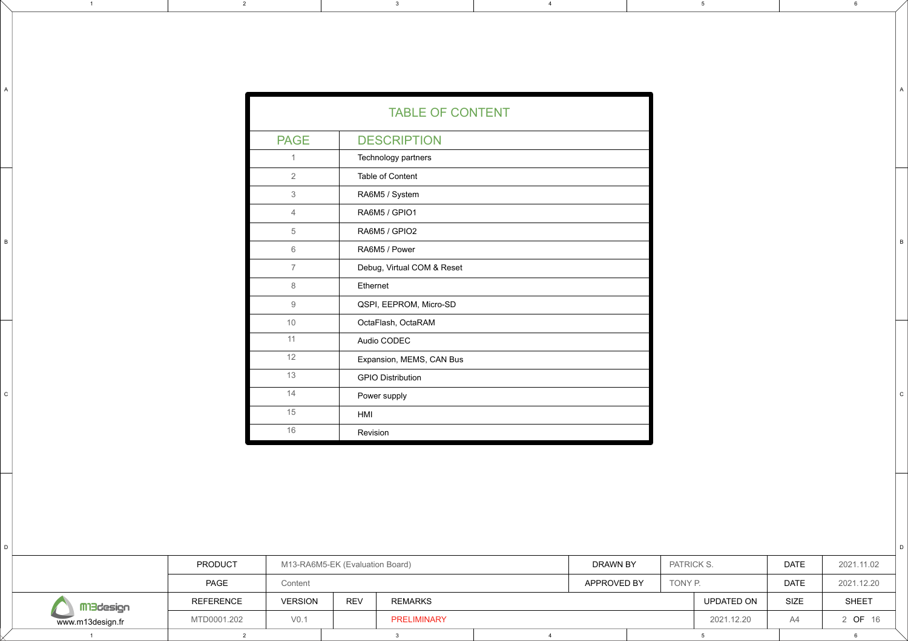| <b>TABLE OF CONTENT</b> |                            |  |  |  |  |  |  |  |
|-------------------------|----------------------------|--|--|--|--|--|--|--|
| <b>PAGE</b>             | <b>DESCRIPTION</b>         |  |  |  |  |  |  |  |
| 1                       | Technology partners        |  |  |  |  |  |  |  |
| $\overline{2}$          | Table of Content           |  |  |  |  |  |  |  |
| 3                       | RA6M5 / System             |  |  |  |  |  |  |  |
| $\overline{4}$          | RA6M5 / GPIO1              |  |  |  |  |  |  |  |
| 5                       | RA6M5 / GPIO2              |  |  |  |  |  |  |  |
| 6                       | RA6M5 / Power              |  |  |  |  |  |  |  |
| $\overline{7}$          | Debug, Virtual COM & Reset |  |  |  |  |  |  |  |
| 8                       | Ethernet                   |  |  |  |  |  |  |  |
| $\overline{9}$          | QSPI, EEPROM, Micro-SD     |  |  |  |  |  |  |  |
| 10                      | OctaFlash, OctaRAM         |  |  |  |  |  |  |  |
| 11                      | Audio CODEC                |  |  |  |  |  |  |  |
| 12                      | Expansion, MEMS, CAN Bus   |  |  |  |  |  |  |  |
| 13                      | <b>GPIO Distribution</b>   |  |  |  |  |  |  |  |
| 14                      | Power supply               |  |  |  |  |  |  |  |
| 15                      | HMI                        |  |  |  |  |  |  |  |
| 16                      | Revision                   |  |  |  |  |  |  |  |

2 a and the set of the set of the set of the set of the set of the set of the set of the set of the set of the <br>2 and the set of the set of the set of the set of the set of the set of the set of the set of the set of the s

5

6

C

D

B

A

|                  | <b>PRODUCT</b> |                  | M13-RA6M5-EK (Evaluation Board) |                    |  |             |  | PATRICK S.<br>DRAWN BY |            | <b>DATE</b> | 2021.11.02   |
|------------------|----------------|------------------|---------------------------------|--------------------|--|-------------|--|------------------------|------------|-------------|--------------|
|                  | PAGE           | Content          |                                 |                    |  | APPROVED BY |  | TONY P.                |            | <b>DATE</b> | 2021.12.20   |
| Mi3design        | REFERENCE      | <b>VERSION</b>   | <b>REV</b>                      | <b>REMARKS</b>     |  |             |  |                        | UPDATED ON | <b>SIZE</b> | <b>SHEET</b> |
| www.m13design.fr | MTD0001.202    | V <sub>0.1</sub> |                                 | <b>PRELIMINARY</b> |  |             |  |                        | 2021.12.20 | A4          | ! OF 16      |
|                  |                |                  |                                 |                    |  |             |  |                        |            |             |              |

 $D$ 

C

B

A

1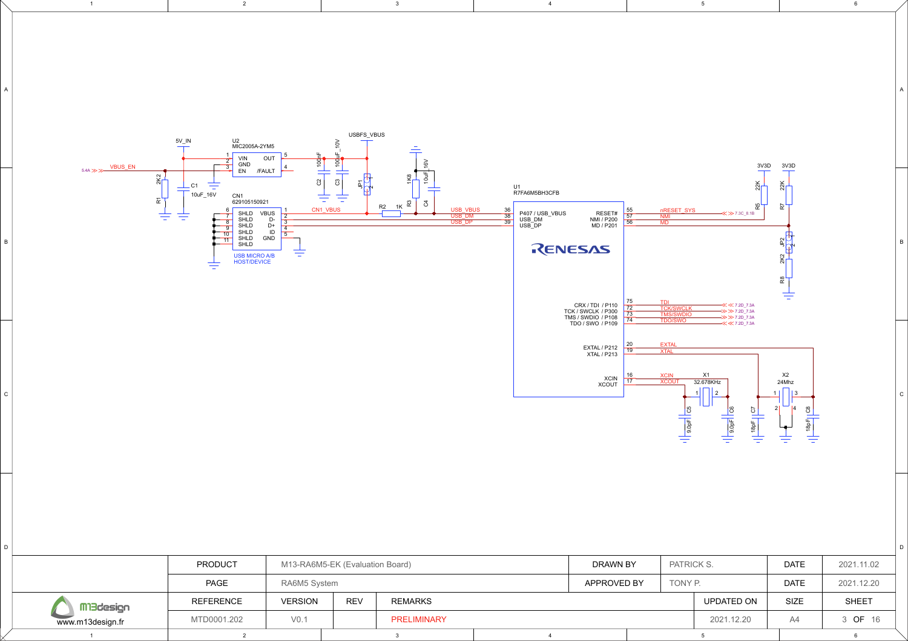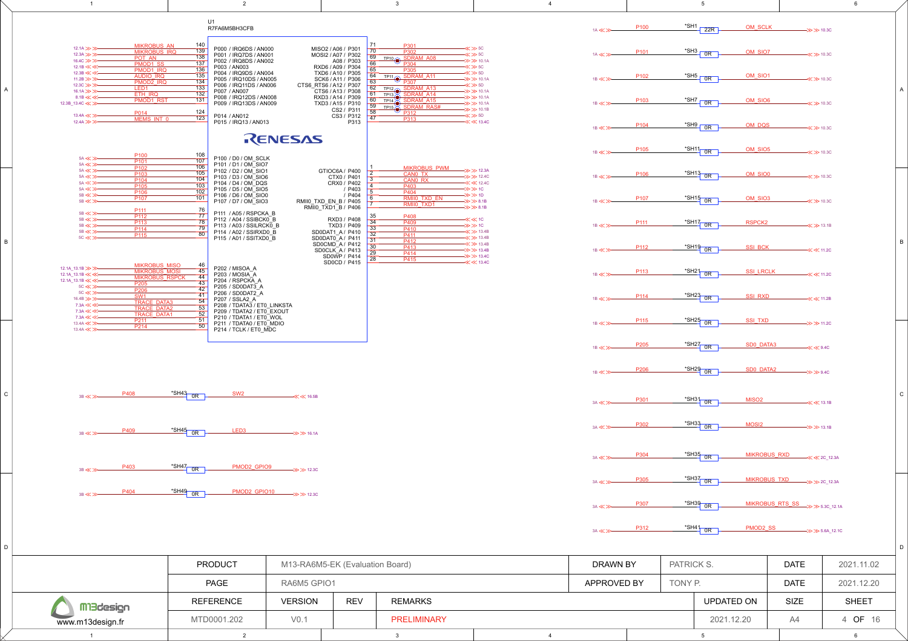| $\overline{1}$                                                                                                                                              | $\overline{2}$                                                                                                                                         |                                              |                                                                                                                | 3                                                                                       | 4                                                                                                                                |                                                               |            | 5                                                                                        |                                | 6                          |   |
|-------------------------------------------------------------------------------------------------------------------------------------------------------------|--------------------------------------------------------------------------------------------------------------------------------------------------------|----------------------------------------------|----------------------------------------------------------------------------------------------------------------|-----------------------------------------------------------------------------------------|----------------------------------------------------------------------------------------------------------------------------------|---------------------------------------------------------------|------------|------------------------------------------------------------------------------------------|--------------------------------|----------------------------|---|
|                                                                                                                                                             | U1<br>R7FA6M5BH3CFB                                                                                                                                    |                                              |                                                                                                                |                                                                                         |                                                                                                                                  | P <sub>100</sub><br>$1A \ll $                                 | *SH1       | OM SCLK<br>22R                                                                           | $\rightarrow$ > 10.30          |                            |   |
| <b>MIKROBUS AN</b><br>12.1A >>><br><b>MIKROBUS IRQ</b><br>$12.3A \gg B$<br>POT AN<br>16.4C >>><br>PMOD1 SS<br>12.1B <<<<<                                   | 140<br>P000 / IRQ6DS / AN000<br>139<br>P001 / IRQ7DS / AN001<br>138<br>P002 / IRQ8DS / AN002<br>137<br>P003 / AN003                                    |                                              | MISO2 / A06 / P301<br>70<br>MOSI2 / A07 / P302<br>69<br>A08 / P303<br>66<br>RXD6 / A09 / P304                  | P301<br>P302<br>TP10 SDRAM_A08                                                          | $\ll$ > 50<br>$\ll$ > 50<br>$\gg$ > 10.1A<br>$\ll$ > 5C                                                                          | P <sub>101</sub><br>$1A \ll 1$                                |            | $*$ SH3 0R<br>OM SIO7                                                                    | $\ll$ > 10.30                  |                            |   |
| PMOD1 IRQ<br>12.3B <<<<<<br><b>AUDIO IRQ</b><br>11.2B $\gg$<br>PMOD2_IRQ<br>12.3C >>>><br>LED <sub>1</sub><br>16.1A >>><br><u>ETH IRG</u><br>$8.1B \ll \ll$ | 136<br>P004 / IRQ9DS / AN004<br>135<br>P005 / IRQ10DS / AN005<br>134<br>P006 / IRQ11DS / AN006<br>133<br>P007 / AN007<br>132<br>P008 / IRQ12DS / AN008 | CTS6_RTS6 / A12 / P307                       | 65<br>TXD6 / A10 / P305<br>64<br>SCK6 / A11 / P306<br>63<br>62<br>CTS6 / A13 / P308<br>61<br>RXD3 / A14 / P309 | P305<br>TP11 SDRAM A11<br>TP12<br>SDRAM A13<br><b>DRAM A14</b>                          | $\ll$ $\gg$ 5D<br>$\Rightarrow$ > 10.1A<br>$\ll$ $\gg$ 5D<br>$\Rightarrow$ > 10.1A<br>$\Rightarrow$ > 10.1A                      | P <sub>102</sub><br>$1B \ll 1$                                |            | $\frac{\text{S}}{\text{S}}$ OR<br>OM_SIO1                                                | $\ll$ > 10.30                  |                            |   |
| <b>PMOD1 RS</b><br>12.3B_13.4C << >><br>P014<br>13.4A << ><br>MEMS INT 0<br>12.4A >>>>                                                                      | $131$<br>P009 / IRQ13DS / AN009<br>124<br>P014 / AN012<br>123<br>P015 / IRQ13 / AN013                                                                  |                                              | 60<br>TXD3 / A15 / P310<br>59<br>CS2 / P311<br>58<br>CS3 / P312<br>47<br>P313                                  | $\frac{\text{TP13}}{\text{TP14}}$<br><b>SDRAM A1</b><br>TP15 SDRAM_RAS#<br>P312<br>P313 | $\rightarrow$ > 10.1A<br>$\Rightarrow$ > 10.1B<br>$\ll$ $\gg$ 5D                                                                 | P <sub>103</sub><br>$1B \ll 3$<br>P <sub>104</sub><br>1B << > |            | $\frac{\text{S}-\text{S}-\text{S}}{2}$<br>OM SIO6<br>$\frac{\text{*SH9}}{10R}$<br>OM DQS | $\ll$ > 10.30<br>$\ll$ > 10.30 |                            |   |
|                                                                                                                                                             |                                                                                                                                                        | RENESAS                                      |                                                                                                                |                                                                                         |                                                                                                                                  |                                                               |            |                                                                                          |                                |                            |   |
| P <sub>100</sub><br>5A << >><br>P <sub>101</sub><br>$5A \ll \gg$<br>P <sub>102</sub><br>5A << ><br>P <sub>103</sub><br>$5A \ll \gg$<br>P <sub>104</sub>     | 108<br>P100 / D0 / OM SCLK<br>107<br>P101 / D1 / OM SIO7<br>106<br>P102 / D2 / OM SIO1<br>105<br>P103 / D3 / OM SIO6<br>104                            |                                              | GTIOC6A / P400<br>CTX0 / P401                                                                                  | <b>MIKROBUS PWM</b><br>CANO TX<br>CANO RX                                               | $\Rightarrow$ > 12.3A<br>$\Rightarrow$ > 12.40                                                                                   | P <sub>105</sub><br>$1B \ll 3$<br>P <sub>106</sub><br>1B << > |            | <u>*SH11</u> OR<br>OM SIO5<br>*SH13 OR<br>OM SIO0                                        | $\ll$ > 10.3C<br>$\ll$ > 10.30 |                            |   |
| $5A \ll \gg$<br>P <sub>105</sub><br>$5A \ll \gg$<br>P <sub>106</sub><br>5B << >><br>P <sub>107</sub><br>$5B \ll \gg$<br>P <sub>111</sub>                    | P104 / D4 / OM DQS<br>103<br>P105 / D5 / OM_SIO5<br>102<br>P106 / D6 / OM SIO0<br>101<br>P107 / D7 / OM SIO3<br>76                                     | RMII0 TXD EN B / P405<br>RMII0 TXD1 B / P406 | CRX0 / P402<br>/ P403<br>/ P404                                                                                | P403<br>P404<br><b>RMIIO TXD EN</b><br>RMII0 TXD1                                       | $\ll$ 42.40<br>$\rightarrow \gg \gg 10^{-1}$<br>$\rightarrow \gg \gg 10$<br>$\Rightarrow$ $\gg$ 8.1B<br>$\Rightarrow$ $\gg$ 8.1B | P <sub>107</sub><br>$1B \ll 2$                                |            | *SH <sub>15</sub> 0R<br>OM SIO3                                                          | $\ll$ > 10.3C                  |                            |   |
| 5B << >><br>P <sub>112</sub><br>$5B \ll \gg$<br>P <sub>113</sub><br>$5B \ll \gg$<br>P <sub>114</sub><br>$5B \ll \gg$<br>P <sub>115</sub><br>$5C \ll \gg$    | P111 / A05 / RSPCKA B<br>77<br>P112 / A04 / SSIBCK0 B<br>78<br>P113 / A03 / SSILRCKO B<br>79<br>P114 / A02 / SSIRXD0 B<br>80<br>P115 / A01 / SSITXD0 B |                                              | 35<br>RXD3 / P408<br>34<br>TXD3 / P409<br>33<br>SD0DAT1_A / P410<br>32<br>SD0DAT0 A/ P411<br>31                | P408<br>P409<br>P410<br>P411<br>P412                                                    | $\ll$ $\ll$ 10<br>$\Rightarrow$ $\gg$ 10<br>$\ll$ > 13.4B<br>$\ll$ > 13.4B                                                       | P <sub>111</sub><br>1B << >                                   |            | *SH17 0R<br><b>RSPCK2</b>                                                                | $\ll$ > 13.1B                  |                            | B |
| <b>MIKROBUS MISO</b>                                                                                                                                        | 46                                                                                                                                                     |                                              | SD0CMD A/P412<br>$\sqrt{30}$<br>SDOCLK_A/P413<br>29<br>SD0WP / P414<br>$\overline{28}$<br>SD0CD / P415         | P413<br>P414<br>P415                                                                    | $\ll$ > 13.4B<br>$\Rightarrow$ > 13.4B<br>$\Rightarrow$ > 13.4C                                                                  | P <sub>112</sub><br>$1B \ll 3$                                |            | *SH <sub>19</sub> 0R<br><b>SSI BCK</b>                                                   | $\ll$ 41.20                    |                            |   |
| 12.1A_13.1B >>><br><b>MIKROBUS MOSI</b><br>12.1A_13.1B <<<<<br><b>MIKROBUS RSPCK</b><br>12.1A 13.1B <<<<<<br>P205<br>$5C \ll \gg$<br>P206                   | P202 / MISOA A<br>45<br>P203 / MOSIA_A<br>44<br>P204 / RSPCKA A<br>43<br>P205 / SD0DAT3 A<br>42                                                        |                                              |                                                                                                                |                                                                                         |                                                                                                                                  | P <sub>113</sub><br>$1B \ll 1$                                |            | $\frac{\text{S}H21}{\text{OR}}$<br><b>SSI LRCLK</b>                                      | $\ll$ 41.20                    |                            |   |
| $5C \ll \gg$<br>SW <sub>1</sub><br>16.4B >>><br><b>TRACE DATA3</b><br>7.3A <<<<<br><b>TRACE_DATA2</b><br>7.3A <<<<<br><b>TRACE_DATA1</b>                    | P206 / SD0DAT2 A<br>41<br>P207 / SSLA2 A<br>54<br>P208 / TDATA3 / ET0 LINKSTA<br>53<br>P209 / TDATA2 / ET0 EXOUT<br>52                                 |                                              |                                                                                                                |                                                                                         |                                                                                                                                  | P <sub>114</sub><br>$1B \ll 2$                                |            | $\frac{\text{R}}{\text{S}}$ + SH23 0R<br><b>SSI RXD</b>                                  | $\ll$ 41.2B                    |                            |   |
| 7.3A <<<<<br>P <sub>211</sub><br>13.4A << ><br>P <sub>214</sub><br>13.4A << >                                                                               | P210 / TDATA1 / ET0 WOL<br>51<br>P211 / TDATA0 / ET0_MDIO<br>50<br>P214 / TCLK / ET0_MDC                                                               |                                              |                                                                                                                |                                                                                         |                                                                                                                                  | P <sub>115</sub><br>$1B \ll 1$                                |            | *SH25 0R<br><b>SSI TXD</b>                                                               | $\Rightarrow$ > 11.20          |                            |   |
|                                                                                                                                                             |                                                                                                                                                        |                                              |                                                                                                                |                                                                                         |                                                                                                                                  | P <sub>205</sub><br>$1B \ll $                                 |            | $*$ SH27 0R<br><b>SDO DATA3</b>                                                          | $\ll$ 9.40                     |                            |   |
|                                                                                                                                                             |                                                                                                                                                        |                                              |                                                                                                                |                                                                                         |                                                                                                                                  | P <sub>206</sub><br>$1B \ll 3$                                |            | *SH29 0R<br>SD0 DATA2                                                                    | $\rightarrow \gg \gg 9.4C$     |                            |   |
| P408<br>$3B \ll \gg$                                                                                                                                        | $\frac{1}{2}$ SH43 OR<br>SW <sub>2</sub>                                                                                                               | $\ll$ 46.5B                                  |                                                                                                                |                                                                                         |                                                                                                                                  | P301<br>$3A \ll 3$                                            |            | *SH31 0R<br>MISO <sub>2</sub>                                                            | $\ll$ < 13.1B                  |                            |   |
| P409<br>$3B \ll 2$                                                                                                                                          | $\frac{1}{2}$ SH45 0R<br>LED <sub>3</sub>                                                                                                              | $\rightarrow$ > 16.1A                        |                                                                                                                |                                                                                         |                                                                                                                                  | P302<br>$3A \ll 2$                                            |            | *SH33 0R<br>MOSI2                                                                        | $\gg$ > 13.1B                  |                            |   |
| P403<br>$3B \ll \gg$                                                                                                                                        | $*$ SH47 OR<br>PMOD2 GPIO9                                                                                                                             | $\rightarrow \gg$ 12.30                      |                                                                                                                |                                                                                         |                                                                                                                                  | P304<br>$3A \ll \gg$                                          |            | *SH35 0R                                                                                 | <b>MIKROBUS RXD</b>            |                            |   |
| P404<br>$3B \ll 2$                                                                                                                                          | $\frac{\text{*SH49}}{9}$ OR                                                                                                                            | $PMOD2_GPIO10 \nArr 12.3C$                   |                                                                                                                |                                                                                         |                                                                                                                                  | P305<br>3A << >                                               |            | *SH37 0R                                                                                 | MIKROBUS_TXD<br>>>> 2C_12.3A   |                            |   |
|                                                                                                                                                             |                                                                                                                                                        |                                              |                                                                                                                |                                                                                         |                                                                                                                                  | P307<br>$3A \ll \gg$                                          |            | *SH39 0R                                                                                 | MIKROBUS RTS SS >> 5.3C_12.1A  |                            |   |
|                                                                                                                                                             |                                                                                                                                                        |                                              |                                                                                                                |                                                                                         |                                                                                                                                  | P312<br>$3A \ll 3$                                            |            | $\frac{\text{SHA1}}{OR}$<br>PMOD2_SS                                                     |                                | $\rightarrow$ > 5.6A_12.1C | D |
|                                                                                                                                                             | PRODUCT                                                                                                                                                | M13-RA6M5-EK (Evaluation Board)              |                                                                                                                |                                                                                         |                                                                                                                                  | DRAWN BY                                                      | PATRICK S. |                                                                                          | <b>DATE</b>                    | 2021.11.02                 |   |
|                                                                                                                                                             | PAGE                                                                                                                                                   | RA6M5 GPIO1                                  |                                                                                                                |                                                                                         |                                                                                                                                  | APPROVED BY                                                   | TONY P.    |                                                                                          | <b>DATE</b>                    | 2021.12.20                 |   |
| <b>Mi3design</b>                                                                                                                                            | <b>REFERENCE</b>                                                                                                                                       | <b>VERSION</b>                               | <b>REV</b>                                                                                                     | <b>REMARKS</b>                                                                          |                                                                                                                                  |                                                               |            | UPDATED ON                                                                               | SIZE                           | SHEET                      |   |
| www.m13design.fr                                                                                                                                            | MTD0001.202                                                                                                                                            | V <sub>0.1</sub>                             |                                                                                                                | <b>PRELIMINARY</b>                                                                      |                                                                                                                                  |                                                               |            | 2021.12.20                                                                               | A4                             | 4 OF 16                    |   |

1 2 2 3 3 4 5 5 5 6

D

C

B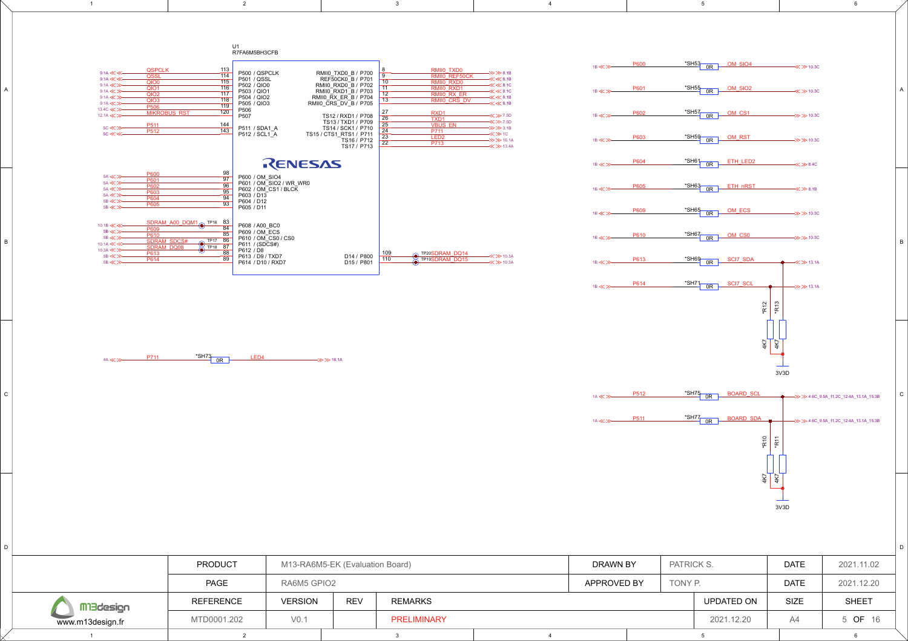

2 a and the set of the set of the set of the set of the set of the set of the set of the set of the set of the <br>2 and the set of the set of the set of the set of the set of the set of the set of the set of the set of the s

www.m13design.fr MTD0001.202

D

C

B

A

1

V0.1 2021.12.20 A4 165

5

5 OF 16

6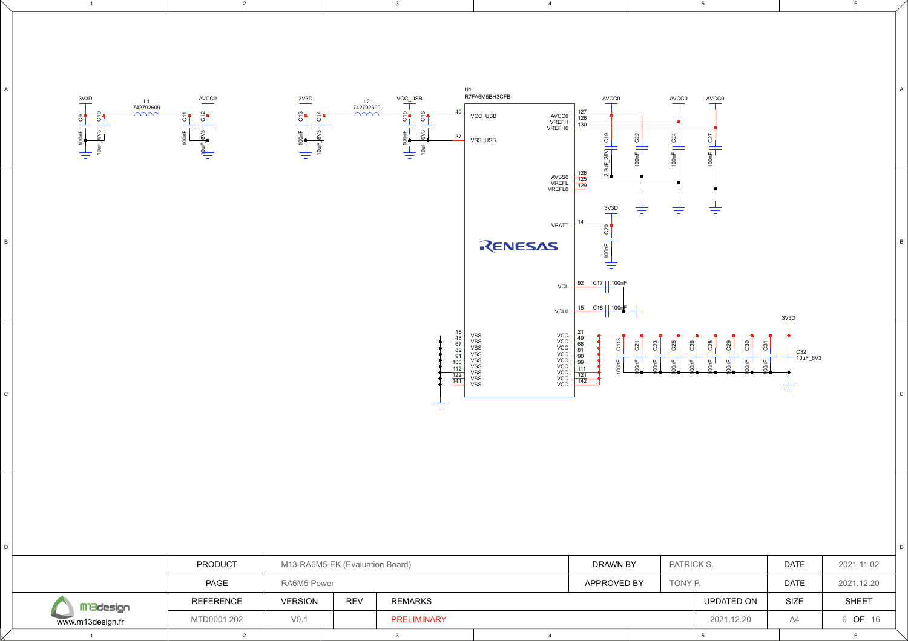

V0.1 2021.12.20 A4 166

PRELIMINARY

2 a and the set of the set of the set of the set of the set of the set of the set of the set of the set of the <br>2 and the set of the set of the set of the set of the set of the set of the set of the set of the set of the s

6 OF 16

C

D

B

A

6

5

www.m13design.fr MTD0001.202

D

 $\mathtt{C}$ 

B

A

1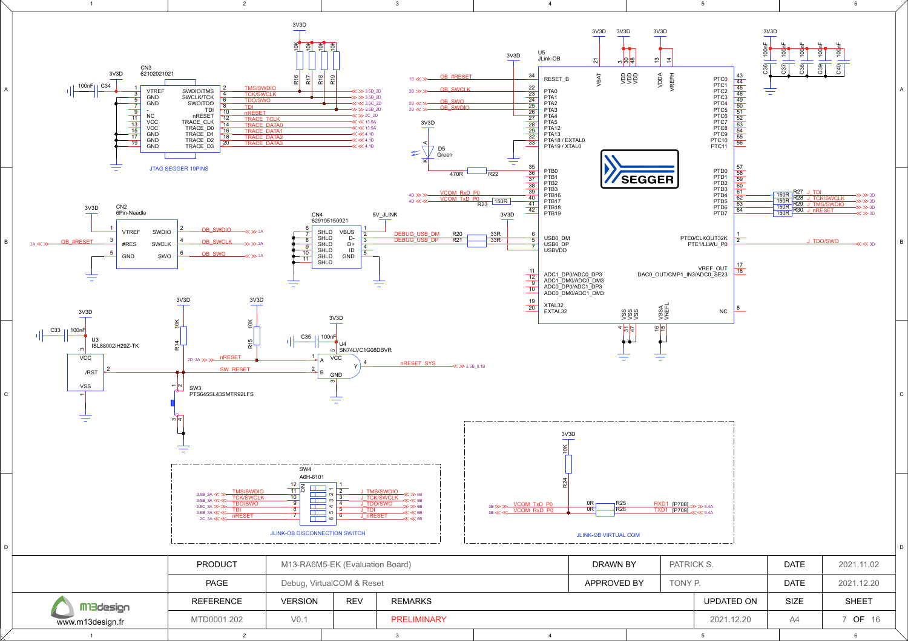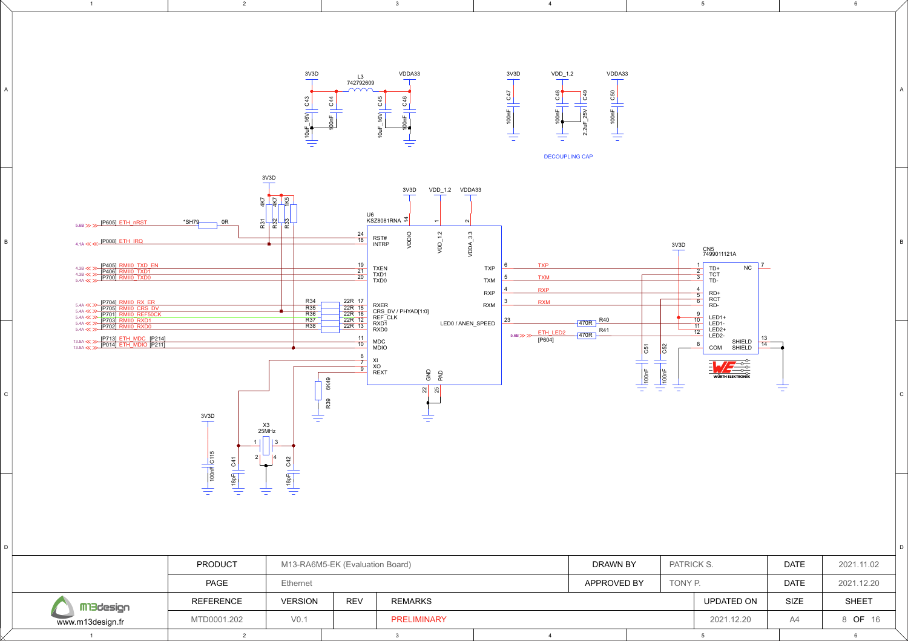

V0.1 | | PRELIMINARY | | 2021.12.20 | A4 | 8 **OF** 16

PRELIMINARY

5

6

8 OF 16

2 a and the set of the set of the set of the set of the set of the set of the set of the set of the set of the <br>2 and the set of the set of the set of the set of the set of the set of the set of the set of the set of the s

D

 $\mathtt{C}$ 

B

A

1

www.m13design.fr | MTD0001.202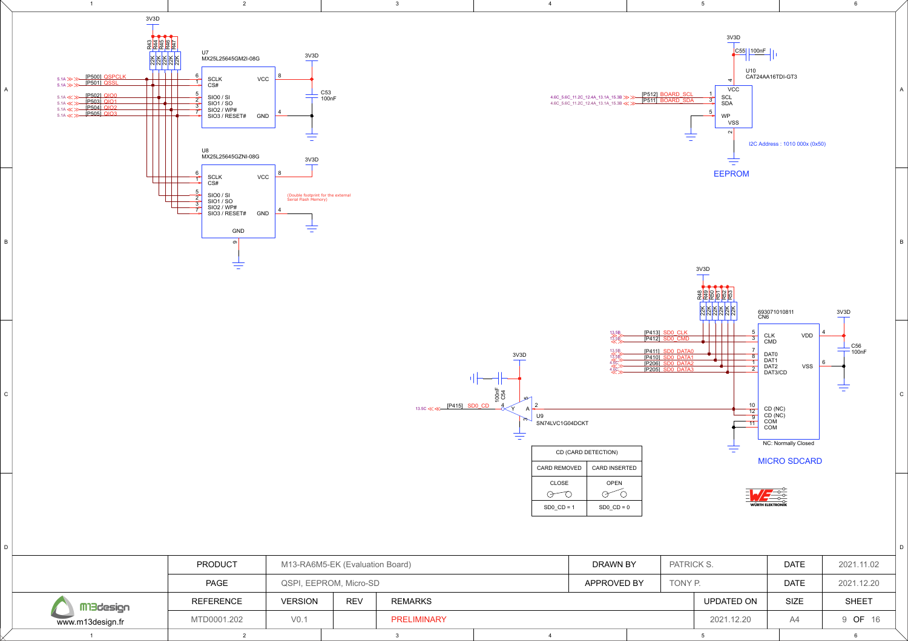

|                  | <b>PRODUCT</b>   |                | M13-RA6M5-EK (Evaluation Board) |                    |  |             | PATRICK S.<br>DRAWN BY |         |            | <b>DATE</b> | 2021.11.02   |
|------------------|------------------|----------------|---------------------------------|--------------------|--|-------------|------------------------|---------|------------|-------------|--------------|
|                  | PAGE             |                | QSPI, EEPROM, Micro-SD          |                    |  | APPROVED BY |                        | TONY P. |            | <b>DATE</b> | 2021.12.20   |
| Mi3design        | <b>REFERENCE</b> | <b>VERSION</b> | <b>REV</b>                      | REMARKS            |  |             |                        |         | UPDATED ON | <b>SIZE</b> | <b>SHEET</b> |
| www.m13design.fr | MTD0001.202      | V0.            |                                 | <b>PRELIMINARY</b> |  |             |                        |         | 2021.12.20 | A4          | 9 OF 16      |
|                  |                  |                |                                 |                    |  |             |                        |         |            |             |              |

 $D$ 

C

B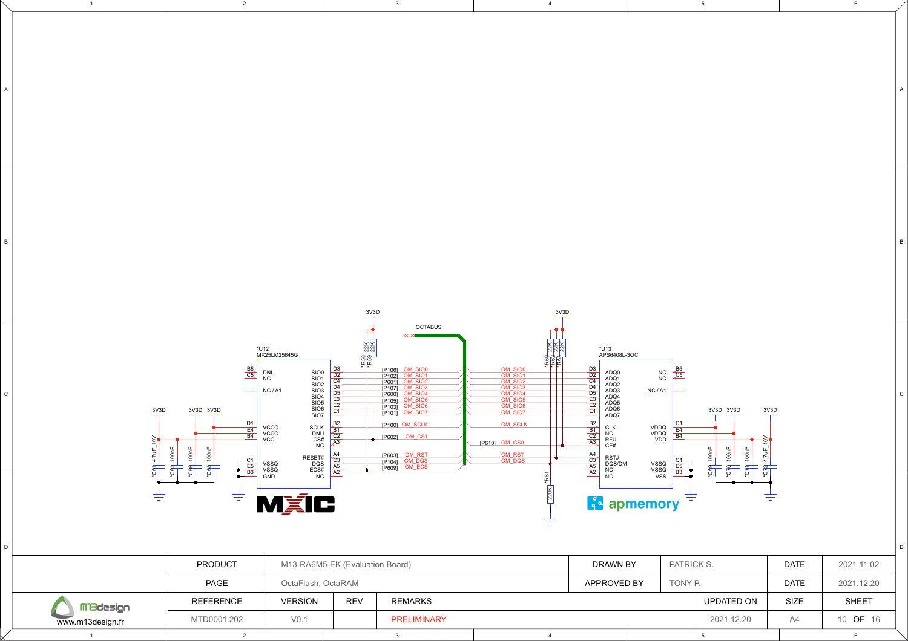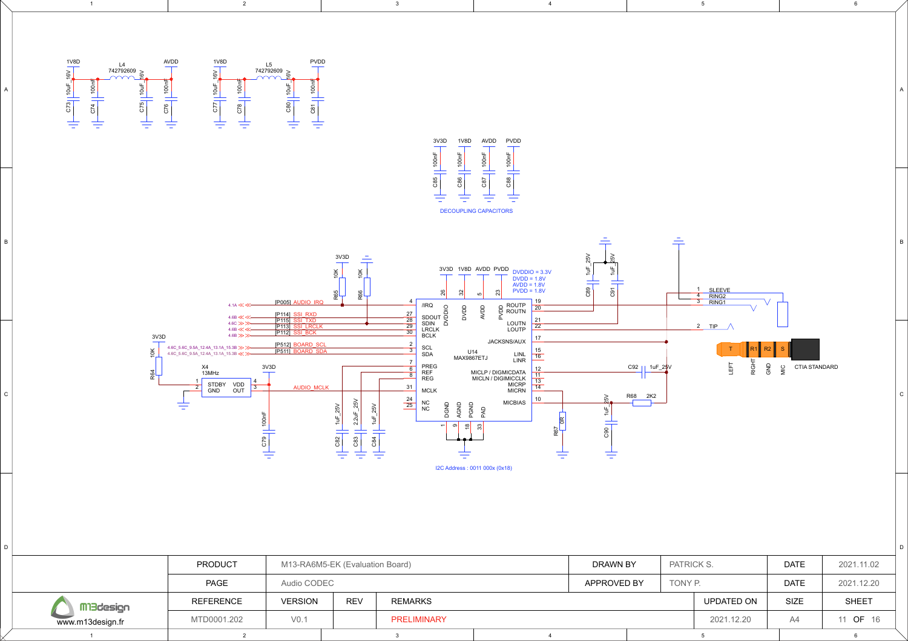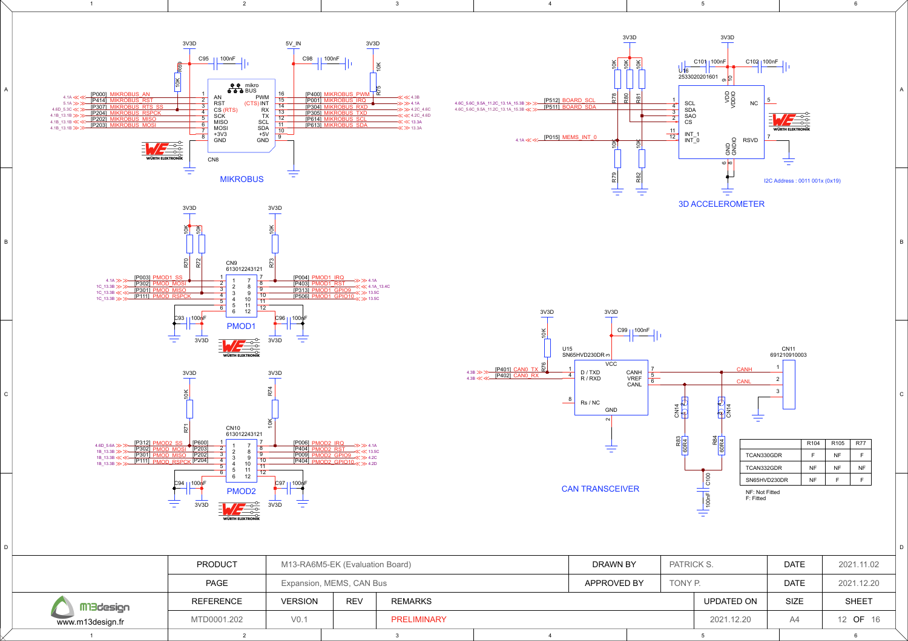

Mi3design www.m13design.fr MTD0001.202

D

 $\mathcal{C}$ 

<sub>R</sub>

A

PRELIMINARY V0.1 2021.12.20 A4 12 16

12 OF 16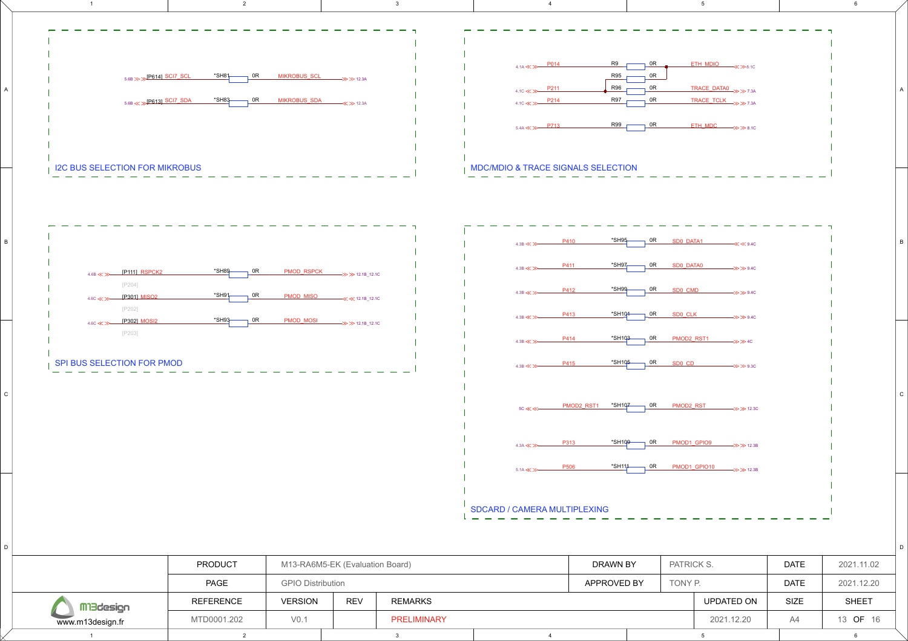

V0.1 2021.12.20 A4 13 16

PRELIMINARY

13 OF 16

M3design www.m13design.fr MTD0001.202

D

C

B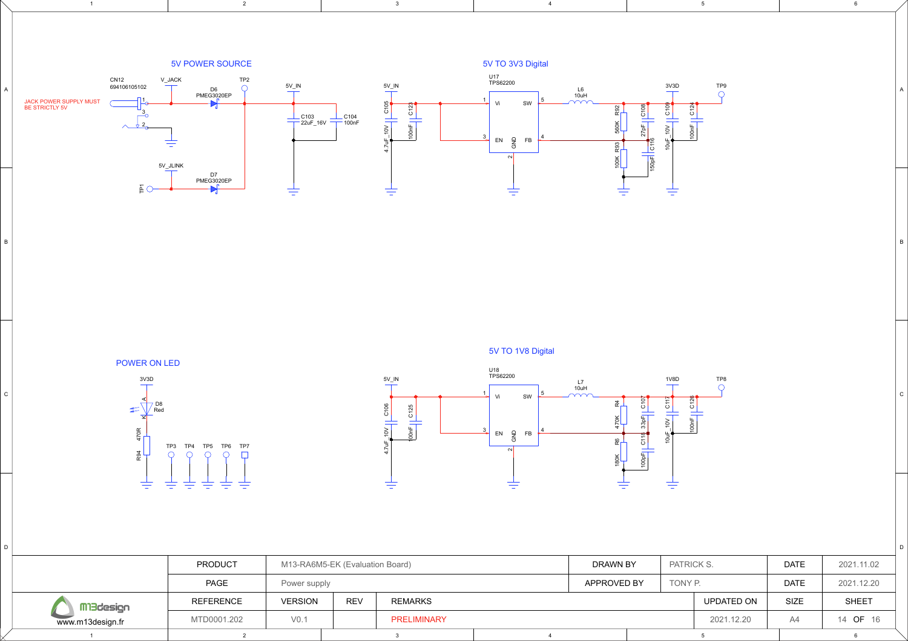

2 a and the set of the set of the set of the set of the set of the set of the set of the set of the set of the <br>2 and the set of the set of the set of the set of the set of the set of the set of the set of the set of the s

POWER ON LED 3V3D  $\frac{1}{\sqrt{2}}$ D8 Red  $\overline{\mathbf{x}}$ R94 470R TP3 TP4 TP5 TP6 TP7<br> $\bigcirc$   $\bigcirc$   $\bigcirc$   $\bigcirc$   $\bigcirc$  $\circ$ 圭

圭 圭 圭

清幸

 $D$ 

C

B

1

## 5V TO 1V8 Digital



5

6

C

D

B

|                  | <b>PRODUCT</b>   |                  | M13-RA6M5-EK (Evaluation Board) |             |  |             | DRAWN BY | PATRICK S. | <b>DATE</b> | 2021.11.02   |
|------------------|------------------|------------------|---------------------------------|-------------|--|-------------|----------|------------|-------------|--------------|
|                  | PAGE             | Power supply     |                                 |             |  | APPROVED BY |          | TONY P.    | <b>DATE</b> | 2021.12.20   |
| MBdesign         | <b>REFERENCE</b> | <b>VERSION</b>   | <b>REV</b>                      | REMARKS     |  |             |          | UPDATED ON | <b>SIZE</b> | <b>SHEET</b> |
| www.m13design.fr | MTD0001.202      | V <sub>0.1</sub> |                                 | PRELIMINARY |  |             |          | 2021.12.20 | A4          | 14 OF 16     |
|                  |                  |                  |                                 |             |  |             |          |            |             |              |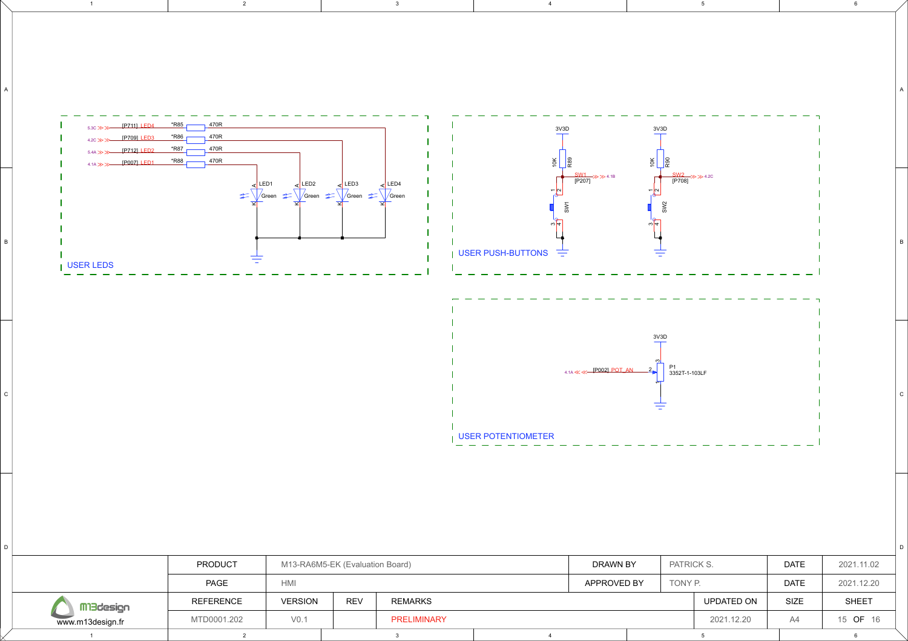